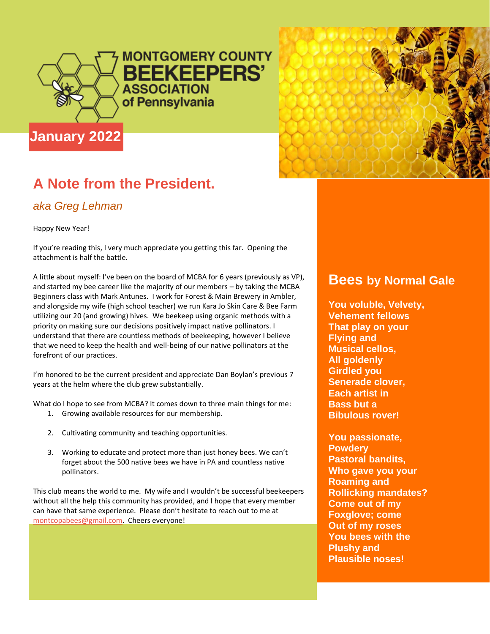

**MONTGOMERY COUNTY BEEKEEPERS' ASSOCIATION** of Pennsylvania



## **A Note from the President.**

### *aka Greg Lehman*

Happy New Year!

If you're reading this, I very much appreciate you getting this far. Opening the attachment is half the battle.

A little about myself: I've been on the board of MCBA for 6 years (previously as VP), and started my bee career like the majority of our members – by taking the MCBA Beginners class with Mark Antunes. I work for Forest & Main Brewery in Ambler, and alongside my wife (high school teacher) we run Kara Jo Skin Care & Bee Farm utilizing our 20 (and growing) hives. We beekeep using organic methods with a priority on making sure our decisions positively impact native pollinators. I understand that there are countless methods of beekeeping, however I believe that we need to keep the health and well-being of our native pollinators at the forefront of our practices.

I'm honored to be the current president and appreciate Dan Boylan's previous 7 years at the helm where the club grew substantially.

What do I hope to see from MCBA? It comes down to three main things for me:

- 1. Growing available resources for our membership.
- 2. Cultivating community and teaching opportunities.
- 3. Working to educate and protect more than just honey bees. We can't forget about the 500 native bees we have in PA and countless native pollinators.

This club means the world to me. My wife and I wouldn't be successful beekeepers without all the help this community has provided, and I hope that every member can have that same experience. Please don't hesitate to reach out to me at [montcopabees@gmail.com.](mailto:montcopabees@gmail.com) Cheers everyone!

### **Bees by Normal Gale**

**You voluble, Velvety, Vehement fellows That play on your Flying and Musical cellos, All goldenly Girdled you Senerade clover, Each artist in Bass but a Bibulous rover!** 

**You passionate, Powdery Pastoral bandits, Who gave you your Roaming and Rollicking mandates? Come out of my Foxglove; come Out of my roses You bees with the Plushy and Plausible noses!**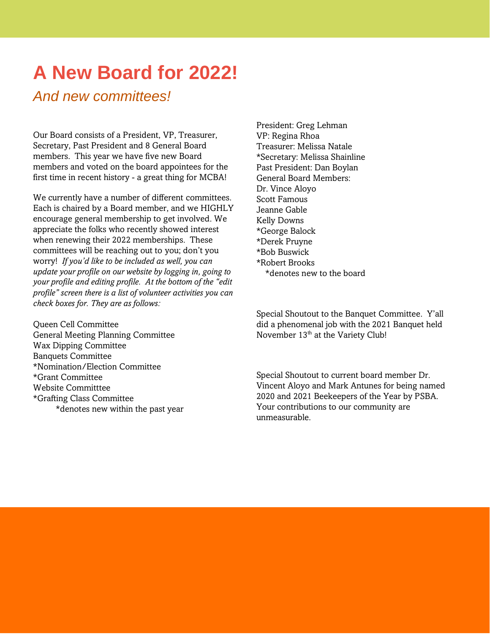## **A New Board for 2022!**

### *And new committees!*

Our Board consists of a President, VP, Treasurer, Secretary, Past President and 8 General Board members. This year we have five new Board members and voted on the board appointees for the first time in recent history - a great thing for MCBA!

We currently have a number of different committees. Each is chaired by a Board member, and we HIGHLY encourage general membership to get involved. We appreciate the folks who recently showed interest when renewing their 2022 memberships. These committees will be reaching out to you; don't you worry! *If you'd like to be included as well, you can update your profile on our website by logging in, going to your profile and editing profile. At the bottom of the "edit profile" screen there is a list of volunteer activities you can check boxes for. They are as follows:*

Queen Cell Committee General Meeting Planning Committee Wax Dipping Committee Banquets Committee \*Nomination/Election Committee \*Grant Committee Website Committtee \*Grafting Class Committee \*denotes new within the past year President: Greg Lehman VP: Regina Rhoa Treasurer: Melissa Natale \*Secretary: Melissa Shainline Past President: Dan Boylan General Board Members: Dr. Vince Aloyo Scott Famous Jeanne Gable Kelly Downs \*George Balock \*Derek Pruyne \*Bob Buswick \*Robert Brooks \*denotes new to the board

Special Shoutout to the Banquet Committee. Y'all did a phenomenal job with the 2021 Banquet held November 13<sup>th</sup> at the Variety Club!

Special Shoutout to current board member Dr. Vincent Aloyo and Mark Antunes for being named 2020 and 2021 Beekeepers of the Year by PSBA. Your contributions to our community are unmeasurable.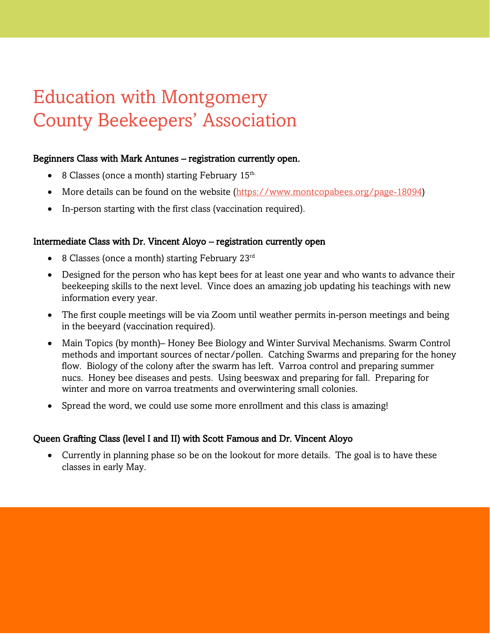# Education with Montgomery County Beekeepers' Association

#### Beginners Class with Mark Antunes – registration currently open.

- 8 Classes (once a month) starting February 15<sup>th.</sup>
- More details can be found on the website [\(https://www.montcopabees.org/page-18094\)](https://www.montcopabees.org/page-18094)
- In-person starting with the first class (vaccination required).

#### Intermediate Class with Dr. Vincent Aloyo – registration currently open

- 8 Classes (once a month) starting February  $23^{rd}$
- Designed for the person who has kept bees for at least one year and who wants to advance their beekeeping skills to the next level. Vince does an amazing job updating his teachings with new information every year.
- The first couple meetings will be via Zoom until weather permits in-person meetings and being in the beeyard (vaccination required).
- Main Topics (by month)– Honey Bee Biology and Winter Survival Mechanisms. Swarm Control methods and important sources of nectar/pollen. Catching Swarms and preparing for the honey flow. Biology of the colony after the swarm has left. Varroa control and preparing summer nucs. Honey bee diseases and pests. Using beeswax and preparing for fall. Preparing for winter and more on varroa treatments and overwintering small colonies.
- Spread the word, we could use some more enrollment and this class is amazing!

#### Queen Grafting Class (level I and II) with Scott Famous and Dr. Vincent Aloyo

• Currently in planning phase so be on the lookout for more details. The goal is to have these classes in early May.